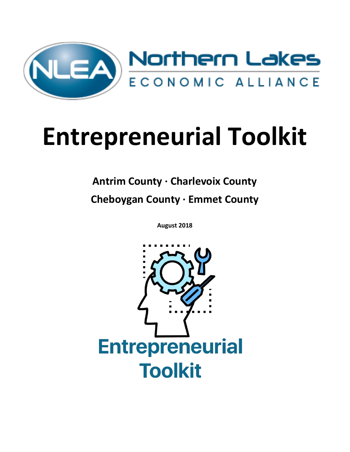

# **Entrepreneurial Toolkit**

## **Antrim County · Charlevoix County Cheboygan County · Emmet County**

**August 2018**

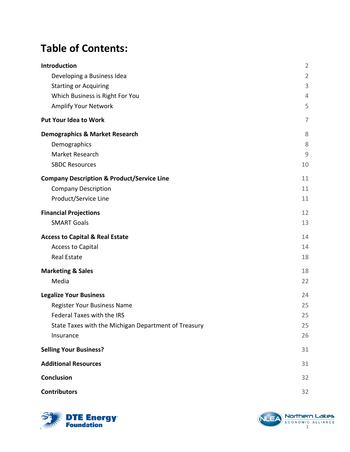## **Table of Contents:**

| Introduction                                          | $\overline{2}$ |
|-------------------------------------------------------|----------------|
| Developing a Business Idea                            | $\overline{2}$ |
| <b>Starting or Acquiring</b>                          | $\mathsf 3$    |
| Which Business is Right For You                       | $\overline{4}$ |
| <b>Amplify Your Network</b>                           | 5              |
| <b>Put Your Idea to Work</b>                          | 7              |
| <b>Demographics &amp; Market Research</b>             | 8              |
| Demographics                                          | 8              |
| Market Research                                       | $\overline{9}$ |
| <b>SBDC Resources</b>                                 | 10             |
| <b>Company Description &amp; Product/Service Line</b> | 11             |
| <b>Company Description</b>                            | 11             |
| Product/Service Line                                  | 11             |
| <b>Financial Projections</b>                          | 12             |
| <b>SMART Goals</b>                                    | 13             |
| <b>Access to Capital &amp; Real Estate</b>            | 14             |
| <b>Access to Capital</b>                              | 14             |
| <b>Real Estate</b>                                    | 18             |
| <b>Marketing &amp; Sales</b>                          | 18             |
| Media                                                 | 22             |
| <b>Legalize Your Business</b>                         | 24             |
| Register Your Business Name                           | 25             |
| Federal Taxes with the IRS                            | 25             |
| State Taxes with the Michigan Department of Treasury  | 25             |
| Insurance                                             | 26             |
| <b>Selling Your Business?</b>                         | 31             |
| <b>Additional Resources</b>                           | 31             |
| <b>Conclusion</b>                                     | 32             |
| <b>Contributors</b>                                   | 32             |



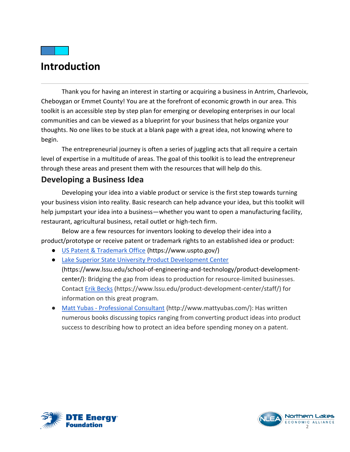## <span id="page-2-0"></span>**Introduction**

Thank you for having an interest in starting or acquiring a business in Antrim, Charlevoix, Cheboygan or Emmet County! You are at the forefront of economic growth in our area. This toolkit is an accessible step by step plan for emerging or developing enterprises in our local communities and can be viewed as a blueprint for your business that helps organize your thoughts. No one likes to be stuck at a blank page with a great idea, not knowing where to begin.

The entrepreneurial journey is often a series of juggling acts that all require a certain level of expertise in a multitude of areas. The goal of this toolkit is to lead the entrepreneur through these areas and present them with the resources that will help do this.

#### <span id="page-2-1"></span>**Developing a Business Idea**

Developing your idea into a viable product or service is the first step towards turning your business vision into reality. Basic research can help advance your idea, but this toolkit will help jumpstart your idea into a business—whether you want to open a manufacturing facility, restaurant, agricultural business, retail outlet or high-tech firm.

Below are a few resources for inventors looking to develop their idea into a product/prototype or receive patent or trademark rights to an established idea or product:

- [US Patent & Trademark Office](https://www.uspto.gov/) (https://www.uspto.gov/)
- [Lake Superior State University Product Development Center](https://www.lssu.edu/school-of-engineering-and-technology/product-development-center/)

(https://www.lssu.edu/school-of-engineering-and-technology/product-developmentcenter/): Bridging the gap from ideas to production for resource-limited businesses. Contact [Erik Becks](https://www.lssu.edu/product-development-center/staff/) (https://www.lssu.edu/product-development-center/staff/) for information on this great program.

● Matt Yubas - [Professional Consultant](http://www.mattyubas.com/) (http://www.mattyubas.com/): Has written numerous books discussing topics ranging from converting product ideas into product success to describing how to protect an idea before spending money on a patent.



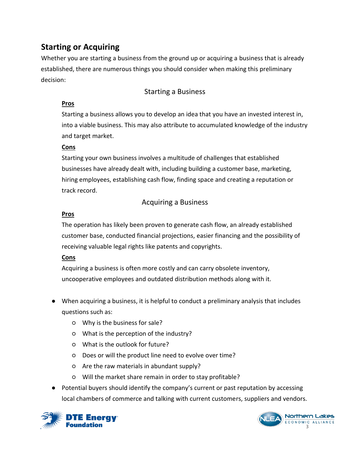### <span id="page-3-0"></span>**Starting or Acquiring**

Whether you are starting a business from the ground up or acquiring a business that is already established, there are numerous things you should consider when making this preliminary decision:

#### Starting a Business

#### **Pros**

Starting a business allows you to develop an idea that you have an invested interest in, into a viable business. This may also attribute to accumulated knowledge of the industry and target market.

#### **Cons**

Starting your own business involves a multitude of challenges that established businesses have already dealt with, including building a customer base, marketing, hiring employees, establishing cash flow, finding space and creating a reputation or track record.

#### Acquiring a Business

#### **Pros**

The operation has likely been proven to generate cash flow, an already established customer base, conducted financial projections, easier financing and the possibility of receiving valuable legal rights like patents and copyrights.

#### **Cons**

Acquiring a business is often more costly and can carry obsolete inventory, uncooperative employees and outdated distribution methods along with it.

- When acquiring a business, it is helpful to conduct a preliminary analysis that includes questions such as:
	- Why is the business for sale?
	- What is the perception of the industry?
	- What is the outlook for future?
	- Does or will the product line need to evolve over time?
	- Are the raw materials in abundant supply?
	- Will the market share remain in order to stay profitable?
- Potential buyers should identify the company's current or past reputation by accessing local chambers of commerce and talking with current customers, suppliers and vendors.



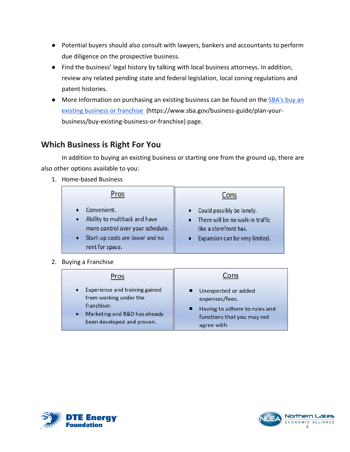- Potential buyers should also consult with lawyers, bankers and accountants to perform due diligence on the prospective business.
- Find the business' legal history by talking with local business attorneys. In addition, review any related pending state and federal legislation, local zoning regulations and patent histories.
- More Information on purchasing an existing business can be found on the SBA's buy an [existing business or franchise](https://www.sba.gov/business-guide/plan-your-business/buy-existing-business-or-franchise) (https://www.sba.gov/business-guide/plan-yourbusiness/buy-existing-business-or-franchise) page.

#### <span id="page-4-0"></span>**Which Business is Right For You**

In addition to buying an existing business or starting one from the ground up, there are also other options available to you:

1. Home-based Business

| Pros                                                                                                                                   | Cons                                                                                                                      |
|----------------------------------------------------------------------------------------------------------------------------------------|---------------------------------------------------------------------------------------------------------------------------|
| Convenient.<br>Ability to multitask and have<br>more control over your schedule.<br>Start-up costs are lower and no<br>rent for space. | Could possibly be lonely.<br>There will be no walk-in traffic<br>like a storefront has.<br>Expansion can be very limited. |

2. Buying a Franchise

| Pros                                                                                                                                                             | Cons                                                                                                                  |
|------------------------------------------------------------------------------------------------------------------------------------------------------------------|-----------------------------------------------------------------------------------------------------------------------|
| Experience and training gained<br>$\bullet$<br>from working under the<br>franchiser.<br>Marketing and R&D has already<br>$\bullet$<br>been developed and proven. | • Unexpected or added<br>expenses/fees.<br>Having to adhere to rules and<br>functions that you may not<br>agree with. |



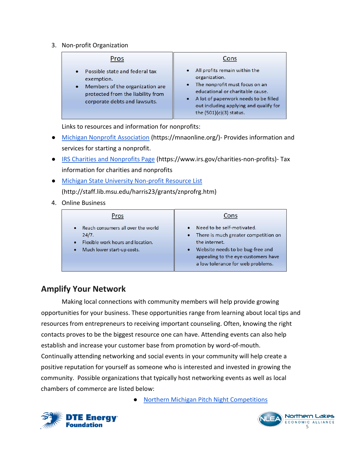3. Non-profit Organization

| Pros                                                                                                                                                               | Cons                                                                                                                                                                                                                                                                        |
|--------------------------------------------------------------------------------------------------------------------------------------------------------------------|-----------------------------------------------------------------------------------------------------------------------------------------------------------------------------------------------------------------------------------------------------------------------------|
| Possible state and federal tax<br>exemption.<br>Members of the organization are<br>$\bullet$<br>protected from the liability from<br>corporate debts and lawsuits. | All profits remain within the<br>$\bullet$<br>organization.<br>The nonprofit must focus on an<br>$\bullet$<br>educational or charitable cause.<br>A lot of paperwork needs to be filled<br>$\bullet$<br>out including applying and qualify for<br>the $(501)(c)(3)$ status. |

Links to resources and information for nonprofits:

- [Michigan Nonprofit Association](https://mnaonline.org/) (https://mnaonline.org/)- Provides information and services for starting a nonprofit.
- [IRS Charities and Nonprofits Page](https://www.irs.gov/charities-non-profits) (https://www.irs.gov/charities-non-profits)- Tax information for charities and nonprofits
- [Michigan State University Non-profit Resource List](http://staff.lib.msu.edu/harris23/grants/znprofrg.htm) (http://staff.lib.msu.edu/harris23/grants/znprofrg.htm)
- 4. Online Business

| Pros                                                                                                                            | Cons                                                                                                                                                                                                               |
|---------------------------------------------------------------------------------------------------------------------------------|--------------------------------------------------------------------------------------------------------------------------------------------------------------------------------------------------------------------|
| • Reach consumers all over the world<br>24/7.<br>• Flexible work hours and location.<br>Much lower start-up costs.<br>$\bullet$ | Need to be self-motivated.<br>• There is much greater competition on<br>the internet.<br>Website needs to be bug-free and<br>$\bullet$<br>appealing to the eye-customers have<br>a low tolerance for web problems. |

#### <span id="page-5-0"></span>**Amplify Your Network**

Making local connections with community members will help provide growing opportunities for your business. These opportunities range from learning about local tips and resources from entrepreneurs to receiving important counseling. Often, knowing the right contacts proves to be the biggest resource one can have. Attending events can also help establish and increase your customer base from promotion by word-of-mouth. Continually attending networking and social events in your community will help create a positive reputation for yourself as someone who is interested and invested in growing the community. Possible organizations that typically host networking events as well as local chambers of commerce are listed below:

[Northern Michigan Pitch Night Competitions](https://www.northernlakes.net/upcoming-events/northern-michigan-pitch-night/)



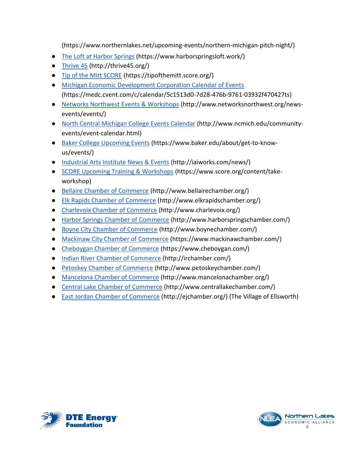(https://www.northernlakes.net/upcoming-events/northern-michigan-pitch-night/)

- [The Loft at Harbor Springs](https://www.harborspringsloft.work/) (https://www.harborspringsloft.work/)
- [Thrive 45](http://thrive45.org/) (http://thrive45.org/)
- [Tip of the Mitt SCORE](https://tipofthemitt.score.org/) (https://tipofthemitt.score.org/)
- [Michigan Economic Development Corporation Calendar of Events](https://medc.cvent.com/c/calendar/5c1513d0-7d28-476b-9761-03932f470427ts) (https://medc.cvent.com/c/calendar/5c1513d0-7d28-476b-9761-03932f470427ts)
- [Networks Northwest Events & Workshops](http://www.networksnorthwest.org/news-events/events/) (http://www.networksnorthwest.org/newsevents/events/)
- [North Central Michigan College Events Calendar](http://www.ncmich.edu/community-events/event-calendar.html) (http://www.ncmich.edu/communityevents/event-calendar.html)
- [Baker College Upcoming Events](https://www.baker.edu/about/get-to-know-us/events/) (https://www.baker.edu/about/get-to-knowus/events/)
- [Industrial Arts Institute News & Events](http://iaiworks.com/news/) (http://iaiworks.com/news/)
- [SCORE Upcoming Training & Workshops](https://www.score.org/content/take-workshop) (https://www.score.org/content/takeworkshop)
- [Bellaire Chamber of Commerce](http://www.bellairechamber.org/) (http://www.bellairechamber.org/)
- [Elk Rapids Chamber of Commerce](http://www.elkrapidschamber.org/) (http://www.elkrapidschamber.org/)
- [Charlevoix Chamber of Commerce](http://www.charlevoix.org/) (http://www.charlevoix.org/)
- [Harbor Springs Chamber of Commerce](http://www.harborspringschamber.com/) (http://www.harborspringschamber.com/)
- [Boyne City Chamber of Commerce](http://www.boynechamber.com/) (http://www.boynechamber.com/)
- [Mackinaw City Chamber of Commerce](https://www.mackinawchamber.com/) (https://www.mackinawchamber.com/)
- [Cheboygan Chamber of Commerce](https://www.cheboygan.com/) (https://www.cheboygan.com/)
- [Indian River Chamber of Commerce](http://irchamber.com/) (http://irchamber.com/)
- [Petoskey Chamber of Commerce](http://www.petoskeychamber.com/) (http://www.petoskeychamber.com/)
- [Mancelona Chamber of Commerce](http://www.mancelonachamber.org/) (http://www.mancelonachamber.org/)
- [Central Lake Chamber of Commerce](http://www.centrallakechamber.com/) (http://www.centrallakechamber.com/)
- [East Jordan Chamber of Commerce](http://ejchamber.org/) (http://ejchamber.org/) (The Village of Ellsworth)



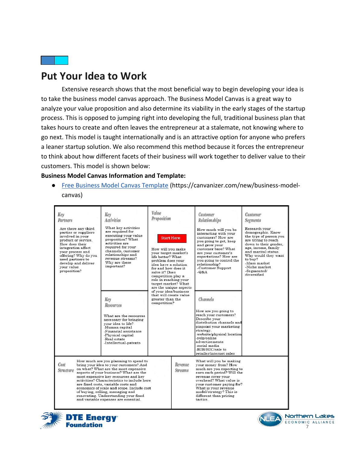

## <span id="page-7-0"></span>**Put Your Idea to Work**

Extensive research shows that the most beneficial way to begin developing your idea is to take the business model canvas approach. The Business Model Canvas is a great way to analyze your value proposition and also determine its viability in the early stages of the startup process. This is opposed to jumping right into developing the full, traditional business plan that takes hours to create and often leaves the entrepreneur at a stalemate, not knowing where to go next. This model is taught internationally and is an attractive option for anyone who prefers a leaner startup solution. We also recommend this method because it forces the entrepreneur to think about how different facets of their business will work together to deliver value to their customers. This model is shown below:

#### **Business Model Canvas Information and Template:**

● [Free Business Model Canvas Template](https://canvanizer.com/new/business-model-canvas) (https://canvanizer.com/new/business-modelcanvas)

| Key<br>Partners<br>Are there any third<br>parties or suppliers<br>involved in vour<br>product or service.<br>How does their<br>integration affect<br>your process and<br>offering? Why do you<br>need partners to<br>develop and deliver<br>vour value<br>proposition?                                                                                                                                                                                                                 | Key<br>Activities<br>What key activities<br>are required for<br>executing your value<br>proposition? What<br>activities are<br>required for your<br>channels, customer<br>relationships and<br>revenue streams?<br>Why are these<br>important? | Value<br>Proposition<br><b>Start Here</b><br>How will you make<br>vour target market's<br>life better? What<br>problem does your<br>idea have a solution<br>for and how does it<br>solve it? Does<br>competition play a<br>role in reaching your<br>target market? What<br>are the unique aspects |                           | Customer<br>Relationships<br>How much will you be<br>interacting with your<br>customers? How are<br>you going to get, keep<br>and grow your<br>customer base? What<br>are vour customer's<br>expectations? How are<br>you going to control the<br>relationship?<br>-Customer Support<br>-Q&A | Customer<br><b>Segments</b><br>Research vour<br>demographic. Know<br>the type of person you<br>are trying to reach<br>down to their gender.<br>age, income, family<br>and marital status.<br>Why would they want<br>to buy?<br>-Mass market<br>-Niche market<br>-Segmented/<br>diversified |
|----------------------------------------------------------------------------------------------------------------------------------------------------------------------------------------------------------------------------------------------------------------------------------------------------------------------------------------------------------------------------------------------------------------------------------------------------------------------------------------|------------------------------------------------------------------------------------------------------------------------------------------------------------------------------------------------------------------------------------------------|---------------------------------------------------------------------------------------------------------------------------------------------------------------------------------------------------------------------------------------------------------------------------------------------------|---------------------------|----------------------------------------------------------------------------------------------------------------------------------------------------------------------------------------------------------------------------------------------------------------------------------------------|--------------------------------------------------------------------------------------------------------------------------------------------------------------------------------------------------------------------------------------------------------------------------------------------|
|                                                                                                                                                                                                                                                                                                                                                                                                                                                                                        | Key<br>Resources<br>What are the resources<br>necessary for bringing<br>vour idea to life?<br>-Human capital<br>-Financial assistance<br>-Physical capital<br>-Real estate<br>-Intellectual-patents                                            | of your idea/business<br>that will create value<br>greater than the<br>competition?                                                                                                                                                                                                               |                           | Channels<br>How are you going to<br>reach your customers?<br>Describe your<br>distribution channels and<br>pinpoint your marketing<br>strategy.<br>-website/physical location<br>velp/online><br>advertisements<br>-social media<br>-B2B/B2C/sale to<br>retailer/internet sales              |                                                                                                                                                                                                                                                                                            |
| How much are you planning to spend to<br>Cost<br>bring your idea to your customers? And<br>on what? What are the most expensive<br>Structure<br>aspects of your business? What are the<br>most expensive key resources and key<br>activities? Characteristics to include here<br>are fixed costs, variable costs and<br>economics of scale and scope. Include cost<br>of buying, selling, managing and<br>renovating. Understanding vour fixed<br>and variable expenses are essential. |                                                                                                                                                                                                                                                |                                                                                                                                                                                                                                                                                                   | Revenue<br><b>Streams</b> | What will you be making<br>vour money from? How<br>much are you expecting to<br>earn each period? Will the<br>revenue cover your<br>overhead? What value is<br>your customer paying for?<br>What is your revenue<br>model/strategy? This is<br>different than pricing<br>tactics             |                                                                                                                                                                                                                                                                                            |





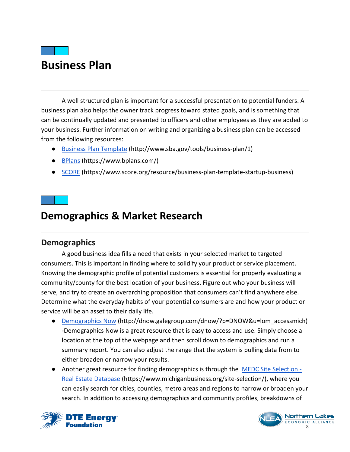## **Business Plan**

A well structured plan is important for a successful presentation to potential funders. A business plan also helps the owner track progress toward stated goals, and is something that can be continually updated and presented to officers and other employees as they are added to your business. Further information on writing and organizing a business plan can be accessed from the following resources:

- [Business Plan Template](http://www.sba.gov/tools/business-plan/1) (http://www.sba.gov/tools/business-plan/1)
- [BPlans](https://www.bplans.com/) (https://www.bplans.com/)
- [SCORE](https://www.score.org/resource/business-plan-template-startup-business) (https://www.score.org/resource/business-plan-template-startup-business)

## <span id="page-8-0"></span>**Demographics & Market Research**

#### <span id="page-8-1"></span>**Demographics**

A good business idea fills a need that exists in your selected market to targeted consumers. This is important in finding where to solidify your product or service placement. Knowing the demographic profile of potential customers is essential for properly evaluating a community/county for the best location of your business. Figure out who your business will serve, and try to create an overarching proposition that consumers can't find anywhere else. Determine what the everyday habits of your potential consumers are and how your product or service will be an asset to their daily life.

- **●** [Demographics Now](http://dnow.galegroup.com/dnow/?p=DNOW&u=lom_accessmich) (http://dnow.galegroup.com/dnow/?p=DNOW&u=lom\_accessmich) -Demographics Now is a great resource that is easy to access and use. Simply choose a location at the top of the webpage and then scroll down to demographics and run a summary report. You can also adjust the range that the system is pulling data from to either broaden or narrow your results.
- Another great resource for finding demographics is through the [MEDC Site Selection -](https://www.michiganbusiness.org/site-selection/) [Real Estate Database](https://www.michiganbusiness.org/site-selection/) (https://www.michiganbusiness.org/site-selection/), where you can easily search for cities, counties, metro areas and regions to narrow or broaden your search. In addition to accessing demographics and community profiles, breakdowns of



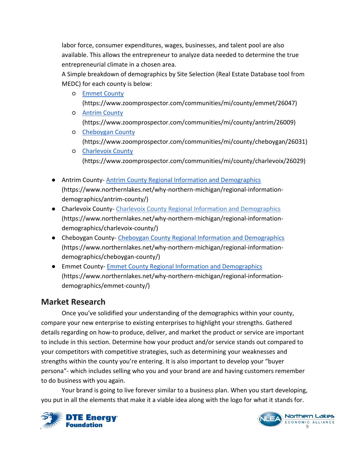labor force, consumer expenditures, wages, businesses, and talent pool are also available. This allows the entrepreneur to analyze data needed to determine the true entrepreneurial climate in a chosen area.

A Simple breakdown of demographics by Site Selection (Real Estate Database tool from MEDC) for each county is below:

- [Emmet County](https://www.zoomprospector.com/communities/mi/county/emmet/26047) (https://www.zoomprospector.com/communities/mi/county/emmet/26047)
- [Antrim County](https://www.zoomprospector.com/communities/mi/county/antrim/26009)  [\(https://www.zoomprospector.com/communities/mi/county/antrim/26009\)](https://www.zoomprospector.com/communities/mi/county/antrim/26009)
- [Cheboygan County](https://www.zoomprospector.com/communities/mi/county/cheboygan/26031) (https://www.zoomprospector.com/communities/mi/county/cheboygan/26031)
- [Charlevoix County](https://www.zoomprospector.com/communities/mi/county/charlevoix/26029) (https://www.zoomprospector.com/communities/mi/county/charlevoix/26029)
- **●** Antrim County- [Antrim County Regional Information and Demographics](https://www.northernlakes.net/why-northern-michigan/regional-information-demographics/antrim-county/) (https://www.northernlakes.net/why-northern-michigan/regional-informationdemographics/antrim-county/)
- **●** Charlevoix County- Charlevoix [County Regional Information and Demographics](https://www.northernlakes.net/why-northern-michigan/regional-information-demographics/charlevoix-county/) (https://www.northernlakes.net/why-northern-michigan/regional-informationdemographics/charlevoix-county/)
- **●** Cheboygan County- [Cheboygan County Regional Information and Demographics](https://www.northernlakes.net/why-northern-michigan/regional-information-demographics/cheboygan-county/) (https://www.northernlakes.net/why-northern-michigan/regional-informationdemographics/cheboygan-county/)
- **●** Emmet County- [Emmet County Regional Information and Demographics](https://www.northernlakes.net/why-northern-michigan/regional-information-demographics/emmet-county/) (https://www.northernlakes.net/why-northern-michigan/regional-informationdemographics/emmet-county/)

#### <span id="page-9-0"></span>**Market Research**

Once you've solidified your understanding of the demographics within your county, compare your new enterprise to existing enterprises to highlight your strengths. Gathered details regarding on how-to produce, deliver, and market the product or service are important to include in this section. Determine how your product and/or service stands out compared to your competitors with competitive strategies, such as determining your weaknesses and strengths within the county you're entering. It is also important to develop your "buyer persona"- which includes selling who you and your brand are and having customers remember to do business with you again.

Your brand is going to live forever similar to a business plan. When you start developing, you put in all the elements that make it a viable idea along with the logo for what it stands for.



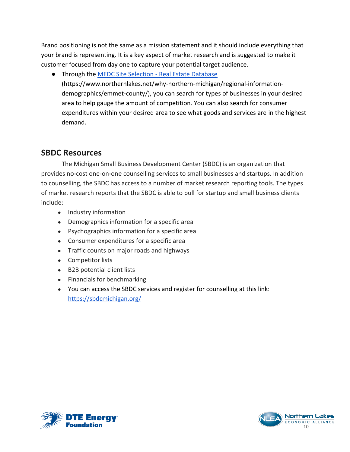Brand positioning is not the same as a mission statement and it should include everything that your brand is representing. It is a key aspect of market research and is suggested to make it customer focused from day one to capture your potential target audience.

● Through the [MEDC Site Selection -](https://www.michiganbusiness.org/site-selection/) Real Estate Database (https://www.northernlakes.net/why-northern-michigan/regional-informationdemographics/emmet-county/), you can search for types of businesses in your desired area to help gauge the amount of competition. You can also search for consumer expenditures within your desired area to see what goods and services are in the highest demand.

#### <span id="page-10-0"></span>**SBDC Resources**

The Michigan Small Business Development Center (SBDC) is an organization that provides no-cost one-on-one counselling services to small businesses and startups. In addition to counselling, the SBDC has access to a number of market research reporting tools. The types of market research reports that the SBDC is able to pull for startup and small business clients include:

- Industry information
- Demographics information for a specific area
- Psychographics information for a specific area
- Consumer expenditures for a specific area
- Traffic counts on major roads and highways
- Competitor lists
- B2B potential client lists
- Financials for benchmarking
- You can access the SBDC services and register for counselling at this link: <https://sbdcmichigan.org/>



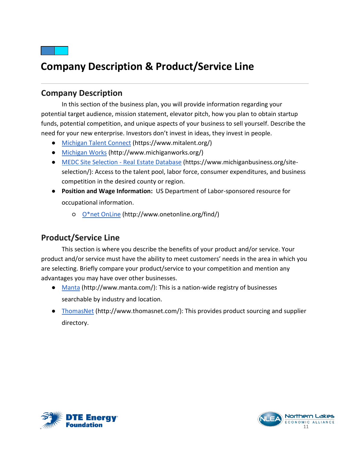

## <span id="page-11-0"></span>**Company Description & Product/Service Line**

#### <span id="page-11-1"></span>**Company Description**

In this section of the business plan, you will provide information regarding your potential target audience, mission statement, elevator pitch, how you plan to obtain startup funds, potential competition, and unique aspects of your business to sell yourself. Describe the need for your new enterprise. Investors don't invest in ideas, they invest in people.

- **●** [Michigan Talent Connect](https://www.mitalent.org/) (https://www.mitalent.org/)
- **●** [Michigan](http://www.michiganworks.org/) Works (http://www.michiganworks.org/)
- **●** [MEDC Site Selection -](https://www.michiganbusiness.org/site-selection/) Real Estate Database (https://www.michiganbusiness.org/siteselection/): Access to the talent pool, labor force, consumer expenditures, and business competition in the desired county or region.
- **● Position and Wage Information:** US Department of Labor-sponsored resource for occupational information.
	- [O\\*net OnLine](http://www.onetonline.org/find/) (http://www.onetonline.org/find/)

#### <span id="page-11-2"></span>**Product/Service Line**

This section is where you describe the benefits of your product and/or service. Your product and/or service must have the ability to meet customers' needs in the area in which you are selecting. Briefly compare your product/service to your competition and mention any advantages you may have over other businesses.

- [Manta](http://www.manta.com/) (http://www.manta.com/): This is a nation-wide registry of businesses searchable by industry and location.
- [ThomasNet](http://www.thomasnet.com/) (http://www.thomasnet.com/): This provides product sourcing and supplier directory.



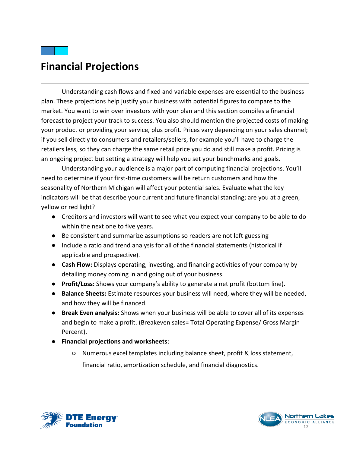## <span id="page-12-0"></span>**Financial Projections**

Understanding cash flows and fixed and variable expenses are essential to the business plan. These projections help justify your business with potential figures to compare to the market. You want to win over investors with your plan and this section compiles a financial forecast to project your track to success. You also should mention the projected costs of making your product or providing your service, plus profit. Prices vary depending on your sales channel; if you sell directly to consumers and retailers/sellers, for example you'll have to charge the retailers less, so they can charge the same retail price you do and still make a profit. Pricing is an ongoing project but setting a strategy will help you set your benchmarks and goals.

Understanding your audience is a major part of computing financial projections. You'll need to determine if your first-time customers will be return customers and how the seasonality of Northern Michigan will affect your potential sales. Evaluate what the key indicators will be that describe your current and future financial standing; are you at a green, yellow or red light?

- **●** Creditors and investors will want to see what you expect your company to be able to do within the next one to five years.
- **●** Be consistent and summarize assumptions so readers are not left guessing
- **●** Include a ratio and trend analysis for all of the financial statements (historical if applicable and prospective).
- **● Cash Flow:** Displays operating, investing, and financing activities of your company by detailing money coming in and going out of your business.
- **● Profit/Loss:** Shows your company's ability to generate a net profit (bottom line).
- **● Balance Sheets:** Estimate resources your business will need, where they will be needed, and how they will be financed.
- **● Break Even analysis:** Shows when your business will be able to cover all of its expenses and begin to make a profit. (Breakeven sales= Total Operating Expense/ Gross Margin Percent).
- **● Financial projections and worksheets**:
	- Numerous excel templates including balance sheet, profit & loss statement, financial ratio, amortization schedule, and financial diagnostics.



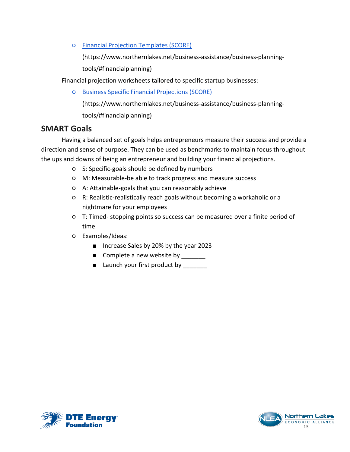○ [Financial Projection Templates \(SCORE\)](https://www.northernlakes.net/wp-content/uploads/2015/07/fs45-1309536019-94679.xls)

(https://www.northernlakes.net/business-assistance/business-planningtools/#financialplanning)

Financial projection worksheets tailored to specific startup businesses:

○ [Business Specific Financial Projections \(SCORE\)](https://www.northernlakes.net/wp-content/uploads/2015/07/Business-Specific-Financial-Projections.xlsx)

(https://www.northernlakes.net/business-assistance/business-planningtools/#financialplanning)

#### <span id="page-13-0"></span>**SMART Goals**

Having a balanced set of goals helps entrepreneurs measure their success and provide a direction and sense of purpose. They can be used as benchmarks to maintain focus throughout the ups and downs of being an entrepreneur and building your financial projections.

- S: Specific-goals should be defined by numbers
- M: Measurable-be able to track progress and measure success
- A: Attainable-goals that you can reasonably achieve
- R: Realistic-realistically reach goals without becoming a workaholic or a nightmare for your employees
- T: Timed- stopping points so success can be measured over a finite period of time
- Examples/Ideas:
	- Increase Sales by 20% by the year 2023
	- Complete a new website by \_\_\_\_\_\_\_
	- Launch your first product by



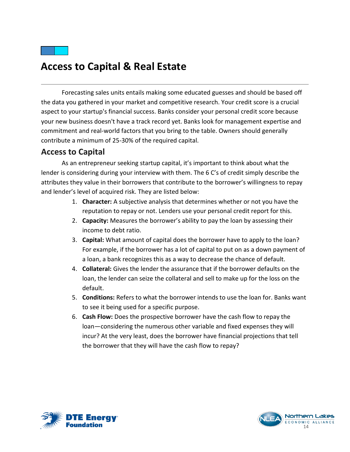## <span id="page-14-0"></span>**Access to Capital & Real Estate**

Forecasting sales units entails making some educated guesses and should be based off the data you gathered in your market and competitive research. Your credit score is a crucial aspect to your startup's financial success. Banks consider your personal credit score because your new business doesn't have a track record yet. Banks look for management expertise and commitment and real-world factors that you bring to the table. Owners should generally contribute a minimum of 25-30% of the required capital.

#### <span id="page-14-1"></span>**Access to Capital**

As an entrepreneur seeking startup capital, it's important to think about what the lender is considering during your interview with them. The 6 C's of credit simply describe the attributes they value in their borrowers that contribute to the borrower's willingness to repay and lender's level of acquired risk. They are listed below:

- 1. **Character:** A subjective analysis that determines whether or not you have the reputation to repay or not. Lenders use your personal credit report for this.
- 2. **Capacity:** Measures the borrower's ability to pay the loan by assessing their income to debt ratio.
- 3. **Capital:** What amount of capital does the borrower have to apply to the loan? For example, if the borrower has a lot of capital to put on as a down payment of a loan, a bank recognizes this as a way to decrease the chance of default.
- 4. **Collateral:** Gives the lender the assurance that if the borrower defaults on the loan, the lender can seize the collateral and sell to make up for the loss on the default.
- 5. **Conditions:** Refers to what the borrower intends to use the loan for. Banks want to see it being used for a specific purpose.
- 6. **Cash Flow:** Does the prospective borrower have the cash flow to repay the loan—considering the numerous other variable and fixed expenses they will incur? At the very least, does the borrower have financial projections that tell the borrower that they will have the cash flow to repay?



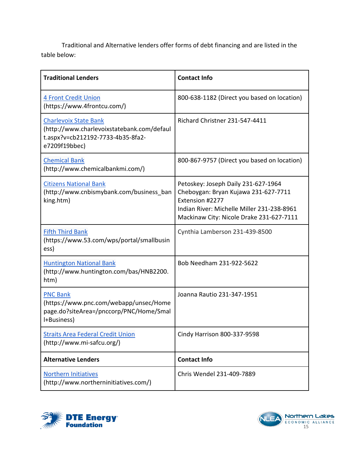Traditional and Alternative lenders offer forms of debt financing and are listed in the table below:

| <b>Traditional Lenders</b>                                                                                                       | <b>Contact Info</b>                                                                                                                                                                      |
|----------------------------------------------------------------------------------------------------------------------------------|------------------------------------------------------------------------------------------------------------------------------------------------------------------------------------------|
| <b>4 Front Credit Union</b><br>(https://www.4frontcu.com/)                                                                       | 800-638-1182 (Direct you based on location)                                                                                                                                              |
| <b>Charlevoix State Bank</b><br>(http://www.charlevoixstatebank.com/defaul<br>t.aspx?v=cb212192-7733-4b35-8fa2-<br>e7209f19bbec) | Richard Christner 231-547-4411                                                                                                                                                           |
| <b>Chemical Bank</b><br>(http://www.chemicalbankmi.com/)                                                                         | 800-867-9757 (Direct you based on location)                                                                                                                                              |
| <b>Citizens National Bank</b><br>(http://www.cnbismybank.com/business ban<br>king.htm)                                           | Petoskey: Joseph Daily 231-627-1964<br>Cheboygan: Bryan Kujawa 231-627-7711<br>Extension #2277<br>Indian River: Michelle Miller 231-238-8961<br>Mackinaw City: Nicole Drake 231-627-7111 |
| <b>Fifth Third Bank</b><br>(https://www.53.com/wps/portal/smallbusin<br>ess)                                                     | Cynthia Lamberson 231-439-8500                                                                                                                                                           |
| <b>Huntington National Bank</b><br>(http://www.huntington.com/bas/HNB2200.<br>htm)                                               | Bob Needham 231-922-5622                                                                                                                                                                 |
| <b>PNC Bank</b><br>(https://www.pnc.com/webapp/unsec/Home<br>page.do?siteArea=/pnccorp/PNC/Home/Smal<br>I+Business)              | Joanna Rautio 231-347-1951                                                                                                                                                               |
| <b>Straits Area Federal Credit Union</b><br>(http://www.mi-safcu.org/)                                                           | Cindy Harrison 800-337-9598                                                                                                                                                              |
| <b>Alternative Lenders</b>                                                                                                       | <b>Contact Info</b>                                                                                                                                                                      |
| <b>Northern Initiatives</b><br>(http://www.northerninitiatives.com/)                                                             | Chris Wendel 231-409-7889                                                                                                                                                                |



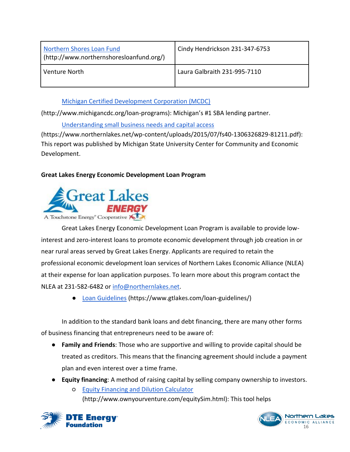| Northern Shores Loan Fund<br>(http://www.northernshoresloanfund.org/) | Cindy Hendrickson 231-347-6753 |
|-----------------------------------------------------------------------|--------------------------------|
| Venture North                                                         | Laura Galbraith 231-995-7110   |

[Michigan Certified Development Corporation \(MCDC\)](http://www.michigancdc.org/loan-programs)

(http://www.michigancdc.org/loan-programs): Michigan's #1 SBA lending partner.

[Understanding small business needs and capital access](https://www.northernlakes.net/wp-content/uploads/2015/07/fs40-1306326829-81211.pdf)

(https://www.northernlakes.net/wp-content/uploads/2015/07/fs40-1306326829-81211.pdf): This report was published by Michigan State University Center for Community and Economic Development.

#### **Great Lakes Energy Economic Development Loan Program**



Great Lakes Energy Economic Development Loan Program is available to provide lowinterest and zero-interest loans to promote economic development through job creation in or near rural areas served by Great Lakes Energy. Applicants are required to retain the professional economic development loan services of Northern Lakes Economic Alliance (NLEA) at their expense for loan application purposes. To learn more about this program contact the NLEA at 231-582-6482 or [info@northernlakes.net.](mailto:info@northernlakes.net)

[Loan Guidelines](https://www.gtlakes.com/loan-guidelines/) (https://www.gtlakes.com/loan-guidelines/)

In addition to the standard bank loans and debt financing, there are many other forms of business financing that entrepreneurs need to be aware of:

- **● Family and Friends**: Those who are supportive and willing to provide capital should be treated as creditors. This means that the financing agreement should include a payment plan and even interest over a time frame.
- **● Equity financing**: A method of raising capital by selling company ownership to investors.
	- [Equity Financing and Dilution Calculator](http://www.ownyourventure.com/equitySim.html) (http://www.ownyourventure.com/equitySim.html): This tool helps



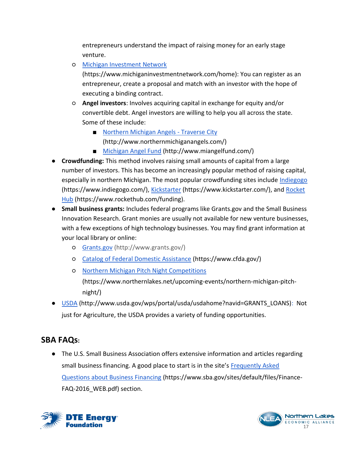entrepreneurs understand the impact of raising money for an early stage venture.

○ [Michigan Investment Network](https://www.michiganinvestmentnetwork.com/home)

(https://www.michiganinvestmentnetwork.com/home): You can register as an entrepreneur, create a proposal and match with an investor with the hope of executing a binding contract.

- **Angel investors**: Involves acquiring capital in exchange for equity and/or convertible debt. Angel investors are willing to help you all across the state. Some of these include:
	- [Northern Michigan Angels -](http://www.northernmichiganangels.com/) Traverse City (http://www.northernmichiganangels.com/)
	- [Michigan Angel Fund](http://www.miangelfund.com/) (http://www.miangelfund.com/)
- **● Crowdfunding:** This method involves raising small amounts of capital from a large number of investors. This has become an increasingly popular method of raising capital, especially in northern Michigan. The most popular crowdfunding sites include [Indiegogo](https://www.indiegogo.com/) (https://www.indiegogo.com/), [Kickstarter](https://www.kickstarter.com/) (https://www.kickstarter.com/), and [Rocket](https://www.rockethub.com/funding)  [Hub](https://www.rockethub.com/funding) (https://www.rockethub.com/funding).
- **● Small business grants:** Includes federal programs like Grants.gov and the Small Business Innovation Research. Grant monies are usually not available for new venture businesses, with a few exceptions of high technology businesses. You may find grant information at your local library or online:
	- [Grants.gov](http://www.grants.gov/) (http://www.grants.gov/)
	- [Catalog of Federal Domestic Assistance](https://www.cfda.gov/) (https://www.cfda.gov/)
	- [Northern Michigan Pitch Night Competitions](https://www.northernlakes.net/upcoming-events/northern-michigan-pitch-night/) (https://www.northernlakes.net/upcoming-events/northern-michigan-pitchnight/)
- [USDA](http://www.usda.gov/wps/portal/usda/usdahome?navid=GRANTS_LOANS) (http://www.usda.gov/wps/portal/usda/usdahome?navid=GRANTS\_LOANS): Not just for Agriculture, the USDA provides a variety of funding opportunities.

#### **SBA FAQs:**

● The U.S. Small Business Association offers extensive information and articles regarding small business financing. A good place to start is in the site's [Frequently Asked](https://www.sba.gov/sites/default/files/Finance-FAQ-2016_WEB.pdf)  [Questions about Business Financing](https://www.sba.gov/sites/default/files/Finance-FAQ-2016_WEB.pdf) (https://www.sba.gov/sites/default/files/Finance-FAQ-2016\_WEB.pdf) section.



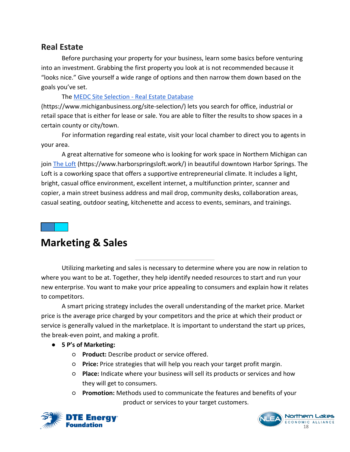#### <span id="page-18-0"></span>**Real Estate**

Before purchasing your property for your business, learn some basics before venturing into an investment. Grabbing the first property you look at is not recommended because it "looks nice." Give yourself a wide range of options and then narrow them down based on the goals you've set.

The [MEDC Site Selection -](https://www.michiganbusiness.org/site-selection/) Real Estate Database (https://www.michiganbusiness.org/site-selection/) lets you search for office, industrial or retail space that is either for lease or sale. You are able to filter the results to show spaces in a certain county or city/town.

For information regarding real estate, visit your local chamber to direct you to agents in your area.

A great alternative for someone who is looking for work space in Northern Michigan can join [The Loft](https://www.harborspringsloft.work/) (https://www.harborspringsloft.work/) in beautiful downtown Harbor Springs. The Loft is a coworking space that offers a supportive entrepreneurial climate. It includes a light, bright, casual office environment, excellent internet, a multifunction printer, scanner and copier, a main street business address and mail drop, community desks, collaboration areas, casual seating, outdoor seating, kitchenette and access to events, seminars, and trainings.

## <span id="page-18-1"></span>**Marketing & Sales**

Utilizing marketing and sales is necessary to determine where you are now in relation to where you want to be at. Together, they help identify needed resources to start and run your new enterprise. You want to make your price appealing to consumers and explain how it relates to competitors.

A smart pricing strategy includes the overall understanding of the market price. Market price is the average price charged by your competitors and the price at which their product or service is generally valued in the marketplace. It is important to understand the start up prices, the break-even point, and making a profit.

- **● 5 P's of Marketing:**
	- **Product:** Describe product or service offered.
	- **Price:** Price strategies that will help you reach your target profit margin.
	- **Place:** Indicate where your business will sell its products or services and how they will get to consumers.
	- **Promotion:** Methods used to communicate the features and benefits of your product or services to your target customers.



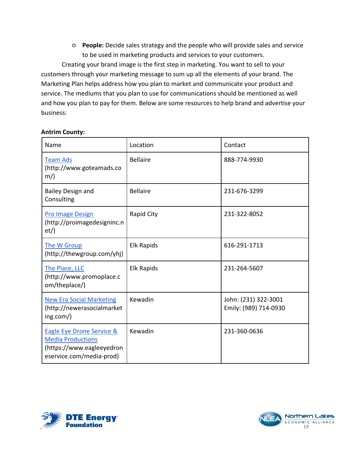○ **People:** Decide sales strategy and the people who will provide sales and service to be used in marketing products and services to your customers.

Creating your brand image is the first step in marketing. You want to sell to your customers through your marketing message to sum up all the elements of your brand. The Marketing Plan helps address how you plan to market and communicate your product and service. The mediums that you plan to use for communications should be mentioned as well and how you plan to pay for them. Below are some resources to help brand and advertise your business:

#### **Antrim County:**

| Name                                                                                                                      | Location          | Contact                                       |
|---------------------------------------------------------------------------------------------------------------------------|-------------------|-----------------------------------------------|
| <b>Team Ads</b><br>(http://www.goteamads.co<br>$m$ )                                                                      | <b>Bellaire</b>   | 888-774-9930                                  |
| <b>Bailey Design and</b><br>Consulting                                                                                    | <b>Bellaire</b>   | 231-676-3299                                  |
| <b>Pro Image Design</b><br>(http://proimagedesigninc.n<br>et)                                                             | Rapid City        | 231-322-8052                                  |
| The W Group<br>(http://thewgroup.com/yhj)                                                                                 | <b>Elk Rapids</b> | 616-291-1713                                  |
| The Place, LLC<br>(http://www.promoplace.c<br>om/theplace/)                                                               | <b>Elk Rapids</b> | 231-264-5607                                  |
| <b>New Era Social Marketing</b><br>(http://newerasocialmarket<br>ing.com/)                                                | Kewadin           | John: (231) 322-3001<br>Emily: (989) 714-0930 |
| <b>Eagle Eye Drone Service &amp;</b><br><b>Media Productions</b><br>(https://www.eagleeyedron<br>eservice.com/media-prod) | Kewadin           | 231-360-0636                                  |



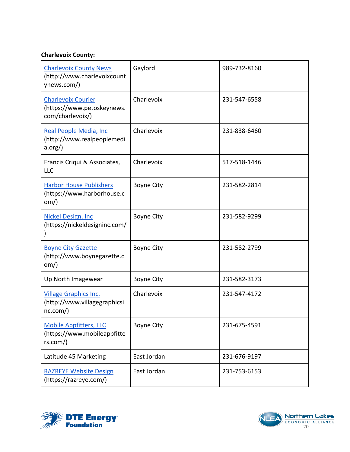#### **Charlevoix County:**

| <b>Charlevoix County News</b><br>(http://www.charlevoixcount<br>ynews.com/) | Gaylord           | 989-732-8160 |
|-----------------------------------------------------------------------------|-------------------|--------------|
| <b>Charlevoix Courier</b><br>(https://www.petoskeynews.<br>com/charlevoix/) | Charlevoix        | 231-547-6558 |
| Real People Media, Inc<br>(http://www.realpeoplemedi<br>$a.org$ )           | Charlevoix        | 231-838-6460 |
| Francis Criqui & Associates,<br><b>LLC</b>                                  | Charlevoix        | 517-518-1446 |
| <b>Harbor House Publishers</b><br>(https://www.harborhouse.c<br>$om$ )      | <b>Boyne City</b> | 231-582-2814 |
| <b>Nickel Design, Inc</b><br>(https://nickeldesigninc.com/                  | <b>Boyne City</b> | 231-582-9299 |
| <b>Boyne City Gazette</b><br>(http://www.boynegazette.c<br>om)              | <b>Boyne City</b> | 231-582-2799 |
| Up North Imagewear                                                          | <b>Boyne City</b> | 231-582-3173 |
| <b>Village Graphics Inc.</b><br>(http://www.villagegraphicsi<br>nc.com()    | Charlevoix        | 231-547-4172 |
| <b>Mobile Appfitters, LLC</b><br>(https://www.mobileappfitte<br>rs.com()    | <b>Boyne City</b> | 231-675-4591 |
| Latitude 45 Marketing                                                       | East Jordan       | 231-676-9197 |
| <b>RAZREYE Website Design</b><br>(https://razreye.com/)                     | East Jordan       | 231-753-6153 |



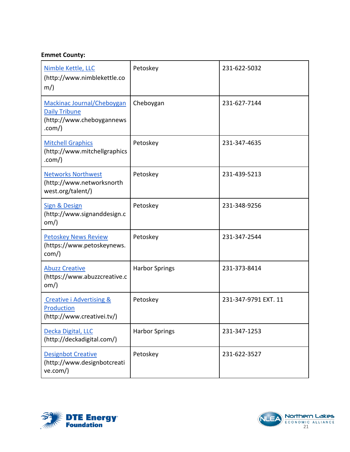#### **Emmet County:**

| Nimble Kettle, LLC<br>(http://www.nimblekettle.co<br>$m$ )                                | Petoskey              | 231-622-5032         |
|-------------------------------------------------------------------------------------------|-----------------------|----------------------|
| Mackinac Journal/Cheboygan<br><b>Daily Tribune</b><br>(http://www.cheboygannews<br>.com() | Cheboygan             | 231-627-7144         |
| <b>Mitchell Graphics</b><br>(http://www.mitchellgraphics<br>.com()                        | Petoskey              | 231-347-4635         |
| <b>Networks Northwest</b><br>(http://www.networksnorth<br>west.org/talent/)               | Petoskey              | 231-439-5213         |
| <b>Sign &amp; Design</b><br>(http://www.signanddesign.c<br>$om$ )                         | Petoskey              | 231-348-9256         |
| <b>Petoskey News Review</b><br>(https://www.petoskeynews.<br>com()                        | Petoskey              | 231-347-2544         |
| <b>Abuzz Creative</b><br>(https://www.abuzzcreative.c<br>$om$ )                           | <b>Harbor Springs</b> | 231-373-8414         |
| <b>Creative i Advertising &amp;</b><br><b>Production</b><br>(http://www.creativei.tv/)    | Petoskey              | 231-347-9791 EXT. 11 |
| Decka Digital, LLC<br>(http://deckadigital.com/)                                          | <b>Harbor Springs</b> | 231-347-1253         |
| <b>Designbot Creative</b><br>(http://www.designbotcreati<br>ve.com()                      | Petoskey              | 231-622-3527         |



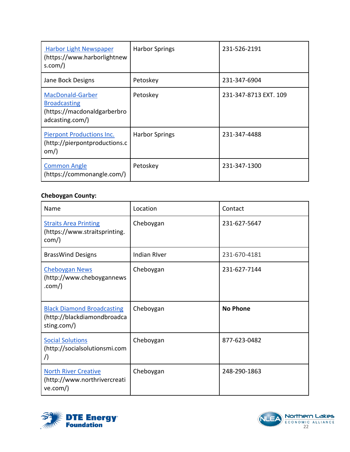| <b>Harbor Light Newspaper</b><br>(https://www.harborlightnew<br>s.com/ $)$                       | <b>Harbor Springs</b> | 231-526-2191          |
|--------------------------------------------------------------------------------------------------|-----------------------|-----------------------|
| Jane Bock Designs                                                                                | Petoskey              | 231-347-6904          |
| <b>MacDonald-Garber</b><br><b>Broadcasting</b><br>(https://macdonaldgarberbro<br>adcasting.com/) | Petoskey              | 231-347-8713 EXT. 109 |
| <b>Pierpont Productions Inc.</b><br>(http://pierpontproductions.c<br>om)                         | <b>Harbor Springs</b> | 231-347-4488          |
| <b>Common Angle</b><br>(https://commonangle.com/)                                                | Petoskey              | 231-347-1300          |

#### **Cheboygan County:**

| Name                                                                            | Location            | Contact         |
|---------------------------------------------------------------------------------|---------------------|-----------------|
| <b>Straits Area Printing</b><br>(https://www.straitsprinting.<br>com()          | Cheboygan           | 231-627-5647    |
| <b>BrassWind Designs</b>                                                        | <b>Indian River</b> | 231-670-4181    |
| <b>Cheboygan News</b><br>(http://www.cheboygannews<br>.com()                    | Cheboygan           | 231-627-7144    |
| <b>Black Diamond Broadcasting</b><br>(http://blackdiamondbroadca<br>sting.com/) | Cheboygan           | <b>No Phone</b> |
| <b>Social Solutions</b><br>(http://socialsolutionsmi.com<br>$\bigwedge$         | Cheboygan           | 877-623-0482    |
| <b>North River Creative</b><br>(http://www.northrivercreati<br>ve.com()         | Cheboygan           | 248-290-1863    |

<span id="page-22-0"></span>

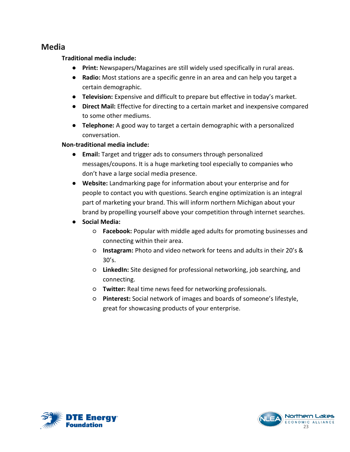#### **Media**

#### **Traditional media include:**

- **Print:** Newspapers/Magazines are still widely used specifically in rural areas.
- **Radio:** Most stations are a specific genre in an area and can help you target a certain demographic.
- **Television:** Expensive and difficult to prepare but effective in today's market.
- **Direct Mail:** Effective for directing to a certain market and inexpensive compared to some other mediums.
- **Telephone:** A good way to target a certain demographic with a personalized conversation.

#### **Non-traditional media include:**

- **Email:** Target and trigger ads to consumers through personalized messages/coupons. It is a huge marketing tool especially to companies who don't have a large social media presence.
- **Website:** Landmarking page for information about your enterprise and for people to contact you with questions. Search engine optimization is an integral part of marketing your brand. This will inform northern Michigan about your brand by propelling yourself above your competition through internet searches.
- **Social Media:**
	- **Facebook:** Popular with middle aged adults for promoting businesses and connecting within their area.
	- **Instagram:** Photo and video network for teens and adults in their 20's & 30's.
	- **LinkedIn:** Site designed for professional networking, job searching, and connecting.
	- **Twitter:** Real time news feed for networking professionals.
	- **Pinterest:** Social network of images and boards of someone's lifestyle, great for showcasing products of your enterprise.



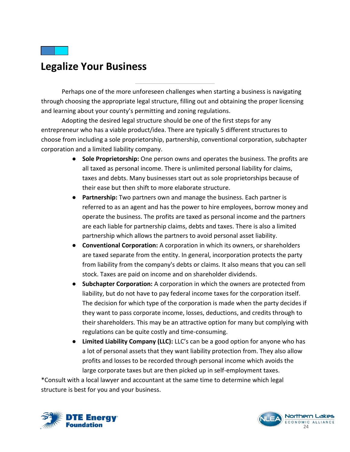<span id="page-24-0"></span>

Perhaps one of the more unforeseen challenges when starting a business is navigating through choosing the appropriate legal structure, filling out and obtaining the proper licensing and learning about your county's permitting and zoning regulations.

Adopting the desired legal structure should be one of the first steps for any entrepreneur who has a viable product/idea. There are typically 5 different structures to choose from including a sole proprietorship, partnership, conventional corporation, subchapter corporation and a limited liability company.

- **Sole Proprietorship:** One person owns and operates the business. The profits are all taxed as personal income. There is unlimited personal liability for claims, taxes and debts. Many businesses start out as sole proprietorships because of their ease but then shift to more elaborate structure.
- **Partnership:** Two partners own and manage the business. Each partner is referred to as an agent and has the power to hire employees, borrow money and operate the business. The profits are taxed as personal income and the partners are each liable for partnership claims, debts and taxes. There is also a limited partnership which allows the partners to avoid personal asset liability.
- **Conventional Corporation:** A corporation in which its owners, or shareholders are taxed separate from the entity. In general, incorporation protects the party from liability from the company's debts or claims. It also means that you can sell stock. Taxes are paid on income and on shareholder dividends.
- **Subchapter Corporation:** A corporation in which the owners are protected from liability, but do not have to pay federal income taxes for the corporation itself. The decision for which type of the corporation is made when the party decides if they want to pass corporate income, losses, deductions, and credits through to their shareholders. This may be an attractive option for many but complying with regulations can be quite costly and time-consuming.
- **Limited Liability Company (LLC):** LLC's can be a good option for anyone who has a lot of personal assets that they want liability protection from. They also allow profits and losses to be recorded through personal income which avoids the large corporate taxes but are then picked up in self-employment taxes.

\*Consult with a local lawyer and accountant at the same time to determine which legal structure is best for you and your business.



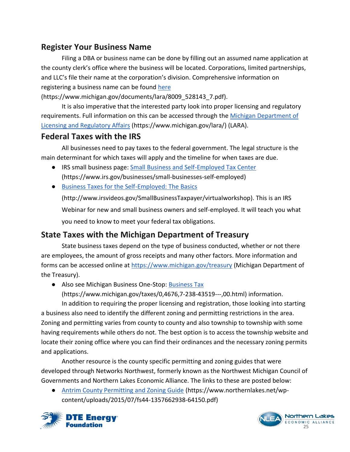#### <span id="page-25-0"></span>**Register Your Business Name**

Filing a DBA or business name can be done by filling out an assumed name application at the county clerk's office where the business will be located. Corporations, limited partnerships, and LLC's file their name at the corporation's division. Comprehensive information on registering a business name can be found [here](https://www.michigan.gov/documents/lara/8009_528143_7.pdf)

(https://www.michigan.gov/documents/lara/8009\_528143\_7.pdf).

It is also imperative that the interested party look into proper licensing and regulatory requirements. Full information on this can be accessed through the [Michigan Department of](https://www.michigan.gov/lara/)  [Licensing and Regulatory Affairs](https://www.michigan.gov/lara/) (https://www.michigan.gov/lara/) (LARA).

#### <span id="page-25-1"></span>**Federal Taxes with the IRS**

All businesses need to pay taxes to the federal government. The legal structure is the main determinant for which taxes will apply and the timeline for when taxes are due.

- IRS small business page: [Small Business and Self-Employed Tax Center](https://www.irs.gov/businesses/small-businesses-self-employed) (https://www.irs.gov/businesses/small-businesses-self-employed)
- [Business Taxes for the Self-Employed: The Basics](http://www.irsvideos.gov/SmallBusinessTaxpayer/virtualworkshop)

(http://www.irsvideos.gov/SmallBusinessTaxpayer/virtualworkshop). This is an IRS Webinar for new and small business owners and self-employed. It will teach you what you need to know to meet your federal tax obligations.

#### <span id="page-25-2"></span>**State Taxes with the Michigan Department of Treasury**

State business taxes depend on the type of business conducted, whether or not there are employees, the amount of gross receipts and many other factors. More information and forms can be accessed online at<https://www.michigan.gov/treasury> (Michigan Department of the Treasury).

● Also see Michigan Business One-Stop: [Business Tax](https://www.michigan.gov/taxes/0,4676,7-238-43519---,00.html)

(https://www.michigan.gov/taxes/0,4676,7-238-43519---,00.html) information.

In addition to requiring the proper licensing and registration, those looking into starting a business also need to identify the different zoning and permitting restrictions in the area. Zoning and permitting varies from county to county and also township to township with some having requirements while others do not. The best option is to access the township website and locate their zoning office where you can find their ordinances and the necessary zoning permits and applications.

Another resource is the county specific permitting and zoning guides that were developed through Networks Northwest, formerly known as the Northwest Michigan Council of Governments and Northern Lakes Economic Alliance. The links to these are posted below:

**●** [Antrim County Permitting and Zoning Guide](https://www.northernlakes.net/wp-content/uploads/2015/07/fs44-1357662938-64150.pdf) (https://www.northernlakes.net/wpcontent/uploads/2015/07/fs44-1357662938-64150.pdf)



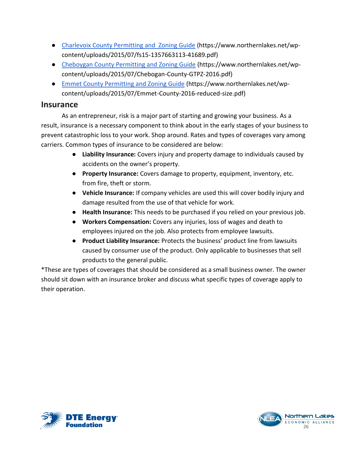- **●** [Charlevoix County Permitting and Zoning Guide](https://www.northernlakes.net/wp-content/uploads/2015/07/fs15-1357663113-41689.pdf) (https://www.northernlakes.net/wpcontent/uploads/2015/07/fs15-1357663113-41689.pdf)
- **●** [Cheboygan County Permitting and Zoning Guide](https://www.northernlakes.net/wp-content/uploads/2015/07/Chebogan-County-GTPZ-2016.pdf) (https://www.northernlakes.net/wpcontent/uploads/2015/07/Chebogan-County-GTPZ-2016.pdf)
- **●** [Emmet County Permitting and Zoning Guide](https://www.northernlakes.net/wp-content/uploads/2015/07/Emmet-County-2016-reduced-size.pdf) (https://www.northernlakes.net/wpcontent/uploads/2015/07/Emmet-County-2016-reduced-size.pdf)

#### <span id="page-26-0"></span>**Insurance**

As an entrepreneur, risk is a major part of starting and growing your business. As a result, insurance is a necessary component to think about in the early stages of your business to prevent catastrophic loss to your work. Shop around. Rates and types of coverages vary among carriers. Common types of insurance to be considered are below:

- **Liability Insurance:** Covers injury and property damage to individuals caused by accidents on the owner's property.
- **Property Insurance:** Covers damage to property, equipment, inventory, etc. from fire, theft or storm.
- **Vehicle Insurance:** If company vehicles are used this will cover bodily injury and damage resulted from the use of that vehicle for work.
- **Health Insurance:** This needs to be purchased if you relied on your previous job.
- **Workers Compensation:** Covers any injuries, loss of wages and death to employees injured on the job. Also protects from employee lawsuits.
- **Product Liability Insurance:** Protects the business' product line from lawsuits caused by consumer use of the product. Only applicable to businesses that sell products to the general public.

\*These are types of coverages that should be considered as a small business owner. The owner should sit down with an insurance broker and discuss what specific types of coverage apply to their operation.



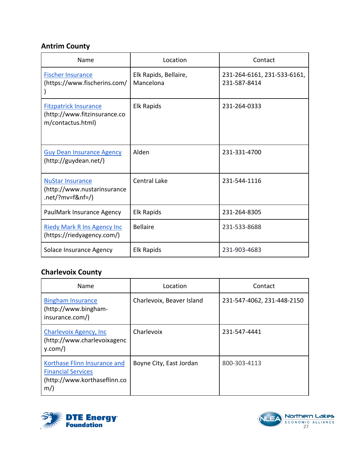#### **Antrim County**

| Name                                                                              | Location                           | Contact                                     |
|-----------------------------------------------------------------------------------|------------------------------------|---------------------------------------------|
| <b>Fischer Insurance</b><br>(https://www.fischerins.com/                          | Elk Rapids, Bellaire,<br>Mancelona | 231-264-6161, 231-533-6161,<br>231-587-8414 |
| <b>Fitzpatrick Insurance</b><br>(http://www.fitzinsurance.co<br>m/contactus.html) | <b>Elk Rapids</b>                  | 231-264-0333                                |
| <b>Guy Dean Insurance Agency</b><br>(http://guydean.net/)                         | Alden                              | 231-331-4700                                |
| <b>NuStar Insurance</b><br>(http://www.nustarinsurance<br>.net/?mv=f&nf=/)        | <b>Central Lake</b>                | 231-544-1116                                |
| PaulMark Insurance Agency                                                         | <b>Elk Rapids</b>                  | 231-264-8305                                |
| <b>Riedy Mark R Ins Agency Inc.</b><br>(https://riedyagency.com/)                 | <b>Bellaire</b>                    | 231-533-8688                                |
| Solace Insurance Agency                                                           | <b>Elk Rapids</b>                  | 231-903-4683                                |

### **Charlevoix County**

| Name                                                                                               | Location                  | Contact                    |
|----------------------------------------------------------------------------------------------------|---------------------------|----------------------------|
| <b>Bingham Insurance</b><br>(http://www.bingham-<br>insurance.com/)                                | Charlevoix, Beaver Island | 231-547-4062, 231-448-2150 |
| Charlevoix Agency, Inc.<br>(http://www.charlevoixagenc<br>y.com()                                  | Charlevoix                | 231-547-4441               |
| Korthase Flinn Insurance and<br><b>Financial Services</b><br>(http://www.korthaseflinn.co<br>$m$ ) | Boyne City, East Jordan   | 800-303-4113               |



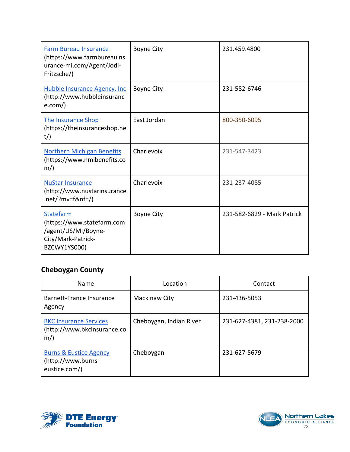| <b>Farm Bureau Insurance</b><br>(https://www.farmbureauins<br>urance-mi.com/Agent/Jodi-<br>Fritzsche/) | <b>Boyne City</b> | 231.459.4800                |
|--------------------------------------------------------------------------------------------------------|-------------------|-----------------------------|
| <b>Hubble Insurance Agency, Inc.</b><br>(http://www.hubbleinsuranc<br>e.com()                          | <b>Boyne City</b> | 231-582-6746                |
| The Insurance Shop<br>(https://theinsuranceshop.ne<br>$t$ /)                                           | East Jordan       | 800-350-6095                |
| <b>Northern Michigan Benefits</b><br>(https://www.nmibenefits.co<br>$m$ )                              | Charlevoix        | 231-547-3423                |
| <b>NuStar Insurance</b><br>(http://www.nustarinsurance<br>.net/?mv=f&nf=/)                             | Charlevoix        | 231-237-4085                |
| Statefarm<br>(https://www.statefarm.com<br>/agent/US/MI/Boyne-<br>City/Mark-Patrick-<br>BZCWY1YS000)   | <b>Boyne City</b> | 231-582-6829 - Mark Patrick |

### **Cheboygan County**

| Name                                                                     | Location                | Contact                    |
|--------------------------------------------------------------------------|-------------------------|----------------------------|
| Barnett-France Insurance<br>Agency                                       | Mackinaw City           | 231-436-5053               |
| <b>BKC Insurance Services</b><br>(http://www.bkcinsurance.co<br>$m$ )    | Cheboygan, Indian River | 231-627-4381, 231-238-2000 |
| <b>Burns &amp; Eustice Agency</b><br>(http://www.burns-<br>eustice.com/) | Cheboygan               | 231-627-5679               |



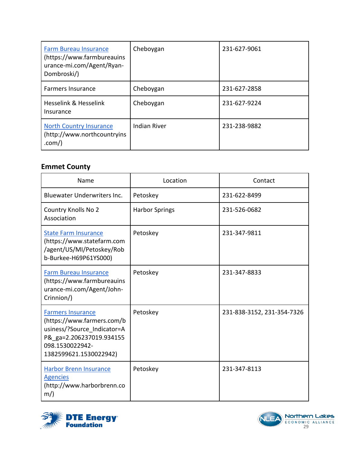| <b>Farm Bureau Insurance</b><br>(https://www.farmbureauins<br>urance-mi.com/Agent/Ryan-<br>Dombroski/) | Cheboygan           | 231-627-9061 |
|--------------------------------------------------------------------------------------------------------|---------------------|--------------|
| <b>Farmers Insurance</b>                                                                               | Cheboygan           | 231-627-2858 |
| Hesselink & Hesselink<br>Insurance                                                                     | Cheboygan           | 231-627-9224 |
| <b>North Country Insurance</b><br>(http://www.northcountryins<br>.com()                                | <b>Indian River</b> | 231-238-9882 |

#### **Emmet County**

| Name                                                                                                                                                           | Location              | Contact                    |
|----------------------------------------------------------------------------------------------------------------------------------------------------------------|-----------------------|----------------------------|
| <b>Bluewater Underwriters Inc.</b>                                                                                                                             | Petoskey              | 231-622-8499               |
| <b>Country Knolls No 2</b><br>Association                                                                                                                      | <b>Harbor Springs</b> | 231-526-0682               |
| <b>State Farm Insurance</b><br>(https://www.statefarm.com<br>/agent/US/MI/Petoskey/Rob<br>b-Burkee-H69P61YS000)                                                | Petoskey              | 231-347-9811               |
| <b>Farm Bureau Insurance</b><br>(https://www.farmbureauins<br>urance-mi.com/Agent/John-<br>Crinnion/)                                                          | Petoskey              | 231-347-8833               |
| <b>Farmers Insurance</b><br>(https://www.farmers.com/b<br>usiness/?Source_Indicator=A<br>P& ga=2.206237019.934155<br>098.1530022942-<br>1382599621.1530022942) | Petoskey              | 231-838-3152, 231-354-7326 |
| <b>Harbor Brenn Insurance</b><br><b>Agencies</b><br>(http://www.harborbrenn.co<br>$m$ )                                                                        | Petoskey              | 231-347-8113               |



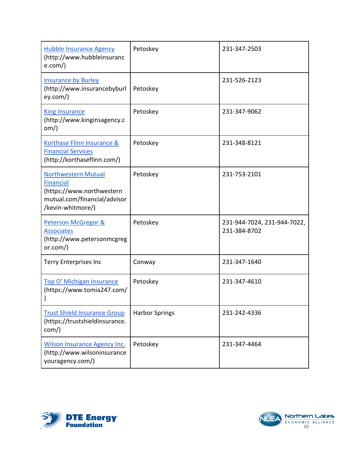| <b>Hubble Insurance Agency</b><br>(http://www.hubbleinsuranc<br>e.com()                                                          | Petoskey              | 231-347-2503                                |
|----------------------------------------------------------------------------------------------------------------------------------|-----------------------|---------------------------------------------|
| <b>Insurance by Burley</b><br>(http://www.insurancebyburl<br>ey.com()                                                            | Petoskey              | 231-526-2123                                |
| <b>King Insurance</b><br>(http://www.kinginsagency.c<br>om)                                                                      | Petoskey              | 231-347-9062                                |
| Korthase Flinn Insurance &<br><b>Financial Services</b><br>(http://korthaseflinn.com/)                                           | Petoskey              | 231-348-8121                                |
| <b>Northwestern Mutual</b><br><b>Financial</b><br>(https://www.northwestern<br>mutual.com/financial/advisor<br>/kevin-whitmore/) | Petoskey              | 231-753-2101                                |
| Peterson McGregor &<br><b>Associates</b><br>(http://www.petersonmcgreg<br>or.com()                                               | Petoskey              | 231-944-7024, 231-944-7022,<br>231-384-8702 |
| <b>Terry Enterprises Inc</b>                                                                                                     | Conway                | 231-347-1640                                |
| <b>Top O' Michigan Insurance</b><br>(https://www.tomia247.com/                                                                   | Petoskey              | 231-347-4610                                |
| <b>Trust Shield Insurance Group</b><br>(https://trustshieldinsurance.<br>com/)                                                   | <b>Harbor Springs</b> | 231-242-4336                                |
| <b>Wilson Insurance Agency Inc.</b><br>(http://www.wilsoninsurance<br>youragency.com/)                                           | Petoskey              | 231-347-4464                                |



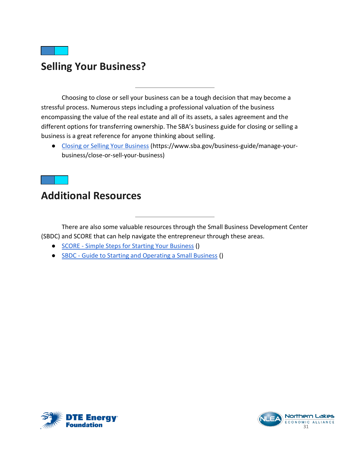## <span id="page-31-0"></span>**Selling Your Business?**

Choosing to close or sell your business can be a tough decision that may become a stressful process. Numerous steps including a professional valuation of the business encompassing the value of the real estate and all of its assets, a sales agreement and the different options for transferring ownership. The SBA's business guide for closing or selling a business is a great reference for anyone thinking about selling.

● [Closing or Selling Your Business](https://www.sba.gov/business-guide/manage-your-business/close-or-sell-your-business) (https://www.sba.gov/business-guide/manage-yourbusiness/close-or-sell-your-business)

## <span id="page-31-1"></span>**Additional Resources**

There are also some valuable resources through the Small Business Development Center (SBDC) and SCORE that can help navigate the entrepreneur through these areas.

- SCORE [Simple Steps for Starting Your Business](https://s3.amazonaws.com/mentoring.redesign/s3fs-public/SCORE-Canon-Simple-Steps-Starting-Business-2014_1.pdf) ()
- SBDC [Guide to Starting and Operating a Small Business](https://view.joomag.com/guide-to-starting-and-operating-a-small-business-2018-guide-to-starting-a-small-business-2018/0527568001528991489?short) ()